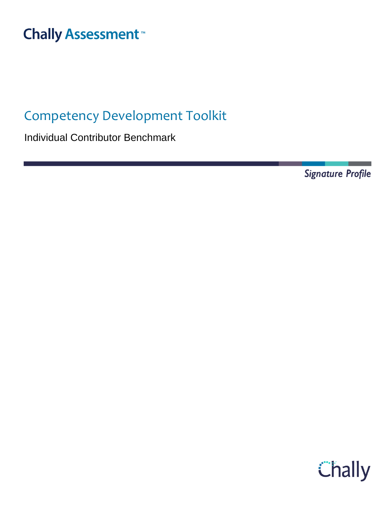# **Chally Assessment**<sup>™</sup>

## Competency Development Toolkit

Individual Contributor Benchmark

**Signature Profile** 

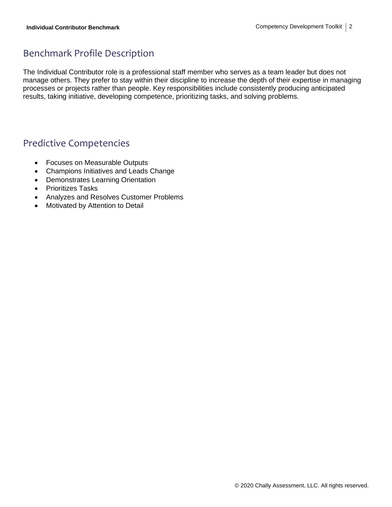### Benchmark Profile Description

The Individual Contributor role is a professional staff member who serves as a team leader but does not manage others. They prefer to stay within their discipline to increase the depth of their expertise in managing processes or projects rather than people. Key responsibilities include consistently producing anticipated results, taking initiative, developing competence, prioritizing tasks, and solving problems.

### Predictive Competencies

- Focuses on Measurable Outputs
- Champions Initiatives and Leads Change
- Demonstrates Learning Orientation
- Prioritizes Tasks
- Analyzes and Resolves Customer Problems
- Motivated by Attention to Detail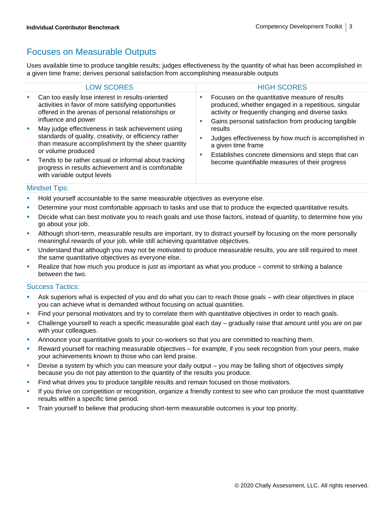### Focuses on Measurable Outputs

Uses available time to produce tangible results; judges effectiveness by the quantity of what has been accomplished in a given time frame; derives personal satisfaction from accomplishing measurable outputs

|    | <b>LOW SCORES</b>                                                                                                                                                                      |  | <b>HIGH SCORES</b>                                                                                                                                                                                                 |
|----|----------------------------------------------------------------------------------------------------------------------------------------------------------------------------------------|--|--------------------------------------------------------------------------------------------------------------------------------------------------------------------------------------------------------------------|
|    | Can too easily lose interest in results-oriented<br>activities in favor of more satisfying opportunities<br>offered in the arenas of personal relationships or<br>influence and power  |  | Focuses on the quantitative measure of results<br>produced, whether engaged in a repetitious, singular<br>activity or frequently changing and diverse tasks<br>Gains personal satisfaction from producing tangible |
|    | May judge effectiveness in task achievement using<br>standards of quality, creativity, or efficiency rather<br>than measure accomplishment by the sheer quantity<br>or volume produced |  | results<br>Judges effectiveness by how much is accomplished in<br>a given time frame<br>Establishes concrete dimensions and steps that can                                                                         |
| a. | Tends to be rather casual or informal about tracking<br>progress in results achievement and is comfortable<br>with variable output levels                                              |  | become quantifiable measures of their progress                                                                                                                                                                     |
|    |                                                                                                                                                                                        |  |                                                                                                                                                                                                                    |

#### Mindset Tips:

**EXECT** Hold yourself accountable to the same measurable objectives as everyone else.

- **•** Determine your most comfortable approach to tasks and use that to produce the expected quantitative results.
- Decide what can best motivate you to reach goals and use those factors, instead of quantity, to determine how you go about your job.
- Although short-term, measurable results are important, try to distract yourself by focusing on the more personally meaningful rewards of your job, while still achieving quantitative objectives.
- Understand that although you may not be motivated to produce measurable results, you are still required to meet the same quantitative objectives as everyone else.
- Realize that how much you produce is just as important as what you produce  $-$  commit to striking a balance between the two.

- Ask superiors what is expected of you and do what you can to reach those goals with clear objectives in place you can achieve what is demanded without focusing on actual quantities.
- Find your personal motivators and try to correlate them with quantitative objectives in order to reach goals.
- Challenge yourself to reach a specific measurable goal each day gradually raise that amount until you are on par with your colleagues.
- Announce your quantitative goals to your co-workers so that you are committed to reaching them.
- Reward yourself for reaching measurable objectives for example, if you seek recognition from your peers, make your achievements known to those who can lend praise.
- **EXED** Devise a system by which you can measure your daily output you may be falling short of objectives simply because you do not pay attention to the quantity of the results you produce.
- **Find what drives you to produce tangible results and remain focused on those motivators.**
- If you thrive on competition or recognition, organize a friendly contest to see who can produce the most quantitative results within a specific time period.
- **•** Train yourself to believe that producing short-term measurable outcomes is your top priority.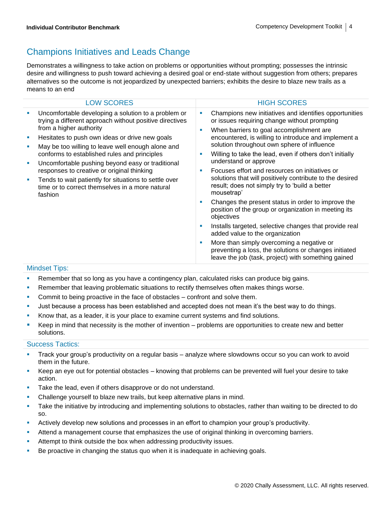### Champions Initiatives and Leads Change

Demonstrates a willingness to take action on problems or opportunities without prompting; possesses the intrinsic desire and willingness to push toward achieving a desired goal or end-state without suggestion from others; prepares alternatives so the outcome is not jeopardized by unexpected barriers; exhibits the desire to blaze new trails as a means to an end

| <b>LOW SCORES</b>                                                                                                                                                                                                                                                                                                                                                                                                                                                                                                              | <b>HIGH SCORES</b>                                                                                                                                                                                                                                                                                                                                                                                                                                                                                                                                                                                                                                                                                                                                                                                                                                                                                                 |
|--------------------------------------------------------------------------------------------------------------------------------------------------------------------------------------------------------------------------------------------------------------------------------------------------------------------------------------------------------------------------------------------------------------------------------------------------------------------------------------------------------------------------------|--------------------------------------------------------------------------------------------------------------------------------------------------------------------------------------------------------------------------------------------------------------------------------------------------------------------------------------------------------------------------------------------------------------------------------------------------------------------------------------------------------------------------------------------------------------------------------------------------------------------------------------------------------------------------------------------------------------------------------------------------------------------------------------------------------------------------------------------------------------------------------------------------------------------|
| Uncomfortable developing a solution to a problem or<br>trying a different approach without positive directives<br>from a higher authority<br>Hesitates to push own ideas or drive new goals<br>May be too willing to leave well enough alone and<br>conforms to established rules and principles<br>Uncomfortable pushing beyond easy or traditional<br>ш<br>responses to creative or original thinking<br>Tends to wait patiently for situations to settle over<br>time or to correct themselves in a more natural<br>fashion | Champions new initiatives and identifies opportunities<br>or issues requiring change without prompting<br>When barriers to goal accomplishment are<br>encountered, is willing to introduce and implement a<br>solution throughout own sphere of influence<br>Willing to take the lead, even if others don't initially<br>understand or approve<br>Focuses effort and resources on initiatives or<br>solutions that will positively contribute to the desired<br>result; does not simply try to 'build a better<br>mousetrap'<br>Changes the present status in order to improve the<br>position of the group or organization in meeting its<br>objectives<br>Installs targeted, selective changes that provide real<br>added value to the organization<br>More than simply overcoming a negative or<br>preventing a loss, the solutions or changes initiated<br>leave the job (task, project) with something gained |

### Mindset Tips:

- **Remember that so long as you have a contingency plan, calculated risks can produce big gains.**
- **EXECTER FILM** Remember that leaving problematic situations to rectify themselves often makes things worse.
- **•** Commit to being proactive in the face of obstacles confront and solve them.
- Just because a process has been established and accepted does not mean it's the best way to do things.
- **EXEL** Know that, as a leader, it is your place to examine current systems and find solutions.
- Keep in mind that necessity is the mother of invention problems are opportunities to create new and better solutions.

- Track your group's productivity on a regular basis analyze where slowdowns occur so you can work to avoid them in the future.
- Keep an eye out for potential obstacles knowing that problems can be prevented will fuel your desire to take action.
- Take the lead, even if others disapprove or do not understand.
- Challenge yourself to blaze new trails, but keep alternative plans in mind.
- **•** Take the initiative by introducing and implementing solutions to obstacles, rather than waiting to be directed to do so.
- **EXECT** Actively develop new solutions and processes in an effort to champion your group's productivity.
- Attend a management course that emphasizes the use of original thinking in overcoming barriers.
- Attempt to think outside the box when addressing productivity issues.
- **•** Be proactive in changing the status quo when it is inadequate in achieving goals.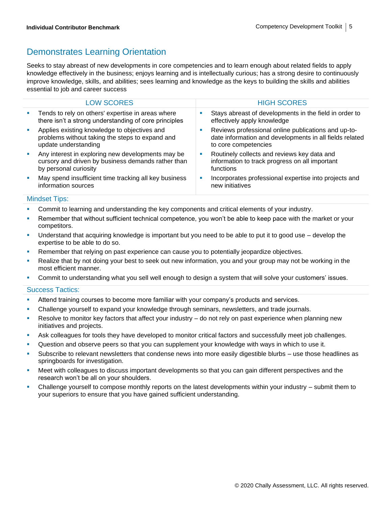### Demonstrates Learning Orientation

Seeks to stay abreast of new developments in core competencies and to learn enough about related fields to apply knowledge effectively in the business; enjoys learning and is intellectually curious; has a strong desire to continuously improve knowledge, skills, and abilities; sees learning and knowledge as the keys to building the skills and abilities essential to job and career success

|    | <b>LOW SCORES</b>                                                                                                                | <b>HIGH SCORES</b>                                                                                                                     |
|----|----------------------------------------------------------------------------------------------------------------------------------|----------------------------------------------------------------------------------------------------------------------------------------|
| M. | Tends to rely on others' expertise in areas where<br>there isn't a strong understanding of core principles                       | Stays abreast of developments in the field in order to<br>effectively apply knowledge                                                  |
|    | Applies existing knowledge to objectives and<br>problems without taking the steps to expand and<br>update understanding          | Reviews professional online publications and up-to-<br>date information and developments in all fields related<br>to core competencies |
| ш  | Any interest in exploring new developments may be<br>cursory and driven by business demands rather than<br>by personal curiosity | Routinely collects and reviews key data and<br>information to track progress on all important<br>functions                             |
|    | May spend insufficient time tracking all key business<br>information sources                                                     | Incorporates professional expertise into projects and<br>new initiatives                                                               |
|    |                                                                                                                                  |                                                                                                                                        |

#### Mindset Tips:

- Commit to learning and understanding the key components and critical elements of your industry.
- Remember that without sufficient technical competence, you won't be able to keep pace with the market or your competitors.
- Understand that acquiring knowledge is important but you need to be able to put it to good use develop the expertise to be able to do so.
- **EXECT** Remember that relying on past experience can cause you to potentially jeopardize objectives.
- **EXECT** Realize that by not doing your best to seek out new information, you and your group may not be working in the most efficient manner.
- **•** Commit to understanding what you sell well enough to design a system that will solve your customers' issues.

- **EXECT** Attend training courses to become more familiar with your company's products and services.
- **•** Challenge yourself to expand your knowledge through seminars, newsletters, and trade journals.
- Resolve to monitor key factors that affect your industry do not rely on past experience when planning new initiatives and projects.
- Ask colleagues for tools they have developed to monitor critical factors and successfully meet job challenges.
- **•** Question and observe peers so that you can supplement your knowledge with ways in which to use it.
- Subscribe to relevant newsletters that condense news into more easily digestible blurbs use those headlines as springboards for investigation.
- Meet with colleagues to discuss important developments so that you can gain different perspectives and the research won't be all on your shoulders.
- Challenge yourself to compose monthly reports on the latest developments within your industry submit them to your superiors to ensure that you have gained sufficient understanding.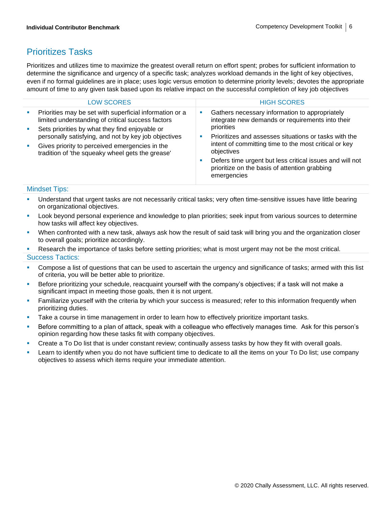### Prioritizes Tasks

Prioritizes and utilizes time to maximize the greatest overall return on effort spent; probes for sufficient information to determine the significance and urgency of a specific task; analyzes workload demands in the light of key objectives, even if no formal guidelines are in place; uses logic versus emotion to determine priority levels; devotes the appropriate amount of time to any given task based upon its relative impact on the successful completion of key job objectives

| <b>LOW SCORES</b>                                                                                                                                                                                   | <b>HIGH SCORES</b>                                                                                                                                                                                                                                                                 |
|-----------------------------------------------------------------------------------------------------------------------------------------------------------------------------------------------------|------------------------------------------------------------------------------------------------------------------------------------------------------------------------------------------------------------------------------------------------------------------------------------|
| Priorities may be set with superficial information or a<br>m.<br>limited understanding of critical success factors<br>Sets priorities by what they find enjoyable or<br>$\mathcal{L}_{\mathcal{A}}$ | Gathers necessary information to appropriately<br>ш<br>integrate new demands or requirements into their<br>priorities                                                                                                                                                              |
| personally satisfying, and not by key job objectives<br>Gives priority to perceived emergencies in the<br><b>Contract</b><br>tradition of 'the squeaky wheel gets the grease'                       | Prioritizes and assesses situations or tasks with the<br><b>CONTRACTOR</b><br>intent of committing time to the most critical or key<br>objectives<br>Defers time urgent but less critical issues and will not<br>ш<br>prioritize on the basis of attention grabbing<br>emergencies |

### Mindset Tips:

- Understand that urgent tasks are not necessarily critical tasks; very often time-sensitive issues have little bearing on organizational objectives.
- Look beyond personal experience and knowledge to plan priorities; seek input from various sources to determine how tasks will affect key objectives.
- When confronted with a new task, always ask how the result of said task will bring you and the organization closer to overall goals; prioritize accordingly.
- Research the importance of tasks before setting priorities; what is most urgent may not be the most critical. Success Tactics:
- **•** Compose a list of questions that can be used to ascertain the urgency and significance of tasks; armed with this list of criteria, you will be better able to prioritize.
- **EXEDENT EXECT ADDET THE STARK IS A THE SET AS EXET A** top Formany's objectives; if a task will not make a significant impact in meeting those goals, then it is not urgent.
- Familiarize yourself with the criteria by which your success is measured; refer to this information frequently when prioritizing duties.
- Take a course in time management in order to learn how to effectively prioritize important tasks.
- Before committing to a plan of attack, speak with a colleague who effectively manages time. Ask for this person's opinion regarding how these tasks fit with company objectives.
- Create a To Do list that is under constant review; continually assess tasks by how they fit with overall goals.
- Learn to identify when you do not have sufficient time to dedicate to all the items on your To Do list; use company objectives to assess which items require your immediate attention.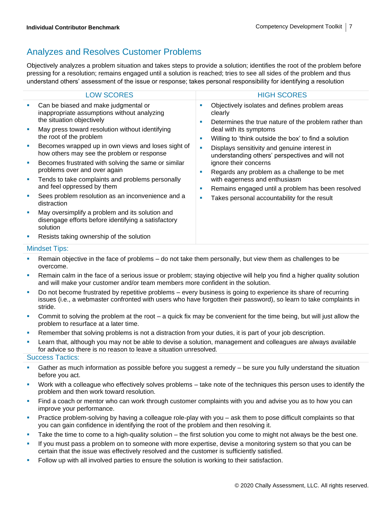### Analyzes and Resolves Customer Problems

Objectively analyzes a problem situation and takes steps to provide a solution; identifies the root of the problem before pressing for a resolution; remains engaged until a solution is reached; tries to see all sides of the problem and thus understand others' assessment of the issue or response; takes personal responsibility for identifying a resolution

|   | <b>LOW SCORES</b>                                                                                                  |                             | <b>HIGH SCORES</b>                                                                                                 |  |
|---|--------------------------------------------------------------------------------------------------------------------|-----------------------------|--------------------------------------------------------------------------------------------------------------------|--|
|   | Can be biased and make judgmental or<br>inappropriate assumptions without analyzing<br>the situation objectively   | ×<br>п                      | Objectively isolates and defines problem areas<br>clearly<br>Determines the true nature of the problem rather than |  |
|   | May press toward resolution without identifying<br>the root of the problem                                         | deal with its symptoms<br>ш | Willing to 'think outside the box' to find a solution                                                              |  |
|   | Becomes wrapped up in own views and loses sight of<br>how others may see the problem or response                   | n                           | Displays sensitivity and genuine interest in<br>understanding others' perspectives and will not                    |  |
| × | Becomes frustrated with solving the same or similar<br>problems over and over again                                | п                           | ignore their concerns<br>Regards any problem as a challenge to be met                                              |  |
| × | Tends to take complaints and problems personally<br>and feel oppressed by them                                     | п                           | with eagerness and enthusiasm<br>Remains engaged until a problem has been resolved                                 |  |
|   | Sees problem resolution as an inconvenience and a<br>distraction                                                   | п                           | Takes personal accountability for the result                                                                       |  |
| × | May oversimplify a problem and its solution and<br>disengage efforts before identifying a satisfactory<br>solution |                             |                                                                                                                    |  |
|   | Resists taking ownership of the solution                                                                           |                             |                                                                                                                    |  |
|   | <b>Mindset Tips:</b>                                                                                               |                             |                                                                                                                    |  |

- Remain objective in the face of problems do not take them personally, but view them as challenges to be overcome.
- Remain calm in the face of a serious issue or problem; staying objective will help you find a higher quality solution and will make your customer and/or team members more confident in the solution.
- Do not become frustrated by repetitive problems every business is going to experience its share of recurring issues (i.e., a webmaster confronted with users who have forgotten their password), so learn to take complaints in stride.
- Commit to solving the problem at the root a quick fix may be convenient for the time being, but will just allow the problem to resurface at a later time.
- Remember that solving problems is not a distraction from your duties, it is part of your job description.
- **EXTED** Learn that, although you may not be able to devise a solution, management and colleagues are always available for advice so there is no reason to leave a situation unresolved.

- Gather as much information as possible before you suggest a remedy  $-$  be sure you fully understand the situation before you act.
- Work with a colleague who effectively solves problems take note of the techniques this person uses to identify the problem and then work toward resolution.
- Find a coach or mentor who can work through customer complaints with you and advise you as to how you can improve your performance.
- Practice problem-solving by having a colleague role-play with you ask them to pose difficult complaints so that you can gain confidence in identifying the root of the problem and then resolving it.
- Take the time to come to a high-quality solution the first solution you come to might not always be the best one.
- **.** If you must pass a problem on to someone with more expertise, devise a monitoring system so that you can be certain that the issue was effectively resolved and the customer is sufficiently satisfied.
- **•** Follow up with all involved parties to ensure the solution is working to their satisfaction.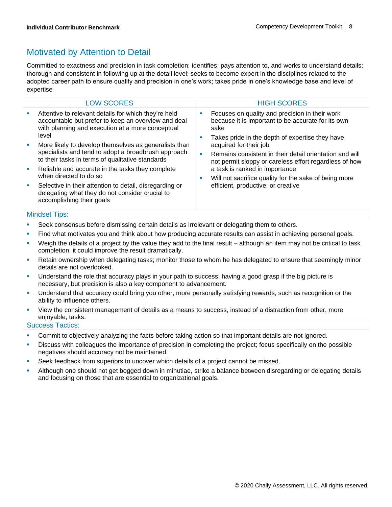### Motivated by Attention to Detail

Committed to exactness and precision in task completion; identifies, pays attention to, and works to understand details; thorough and consistent in following up at the detail level; seeks to become expert in the disciplines related to the adopted career path to ensure quality and precision in one's work; takes pride in one's knowledge base and level of expertise

|    | <b>LOW SCORES</b>                                                                                                                                                         |        | <b>HIGH SCORES</b>                                                                                                                                                                                           |
|----|---------------------------------------------------------------------------------------------------------------------------------------------------------------------------|--------|--------------------------------------------------------------------------------------------------------------------------------------------------------------------------------------------------------------|
| M. | Attentive to relevant details for which they're held<br>accountable but prefer to keep an overview and deal<br>with planning and execution at a more conceptual           | ٠<br>ш | Focuses on quality and precision in their work<br>because it is important to be accurate for its own<br>sake                                                                                                 |
|    | level<br>More likely to develop themselves as generalists than<br>specialists and tend to adopt a broadbrush approach<br>to their tasks in terms of qualitative standards |        | Takes pride in the depth of expertise they have<br>acquired for their job                                                                                                                                    |
|    |                                                                                                                                                                           |        | Remains consistent in their detail orientation and will<br>not permit sloppy or careless effort regardless of how<br>a task is ranked in importance<br>Will not sacrifice quality for the sake of being more |
| ш  | Reliable and accurate in the tasks they complete                                                                                                                          |        |                                                                                                                                                                                                              |
|    | when directed to do so                                                                                                                                                    |        |                                                                                                                                                                                                              |
| ш  | Selective in their attention to detail, disregarding or<br>delegating what they do not consider crucial to<br>accomplishing their goals                                   |        | efficient, productive, or creative                                                                                                                                                                           |

### Mindset Tips:

- **•** Seek consensus before dismissing certain details as irrelevant or delegating them to others.
- **•** Find what motivates you and think about how producing accurate results can assist in achieving personal goals.
- Weigh the details of a project by the value they add to the final result although an item may not be critical to task completion, it could improve the result dramatically.
- **EXECT ADDET FIND TERM** ownership when delegating tasks; monitor those to whom he has delegated to ensure that seemingly minor details are not overlooked.
- Understand the role that accuracy plays in your path to success; having a good grasp if the big picture is necessary, but precision is also a key component to advancement.
- Understand that accuracy could bring you other, more personally satisfying rewards, such as recognition or the ability to influence others.
- View the consistent management of details as a means to success, instead of a distraction from other, more enjoyable, tasks.

- **Commit to objectively analyzing the facts before taking action so that important details are not ignored.**
- Discuss with colleagues the importance of precision in completing the project; focus specifically on the possible negatives should accuracy not be maintained.
- Seek feedback from superiors to uncover which details of a project cannot be missed.
- Although one should not get bogged down in minutiae, strike a balance between disregarding or delegating details and focusing on those that are essential to organizational goals.